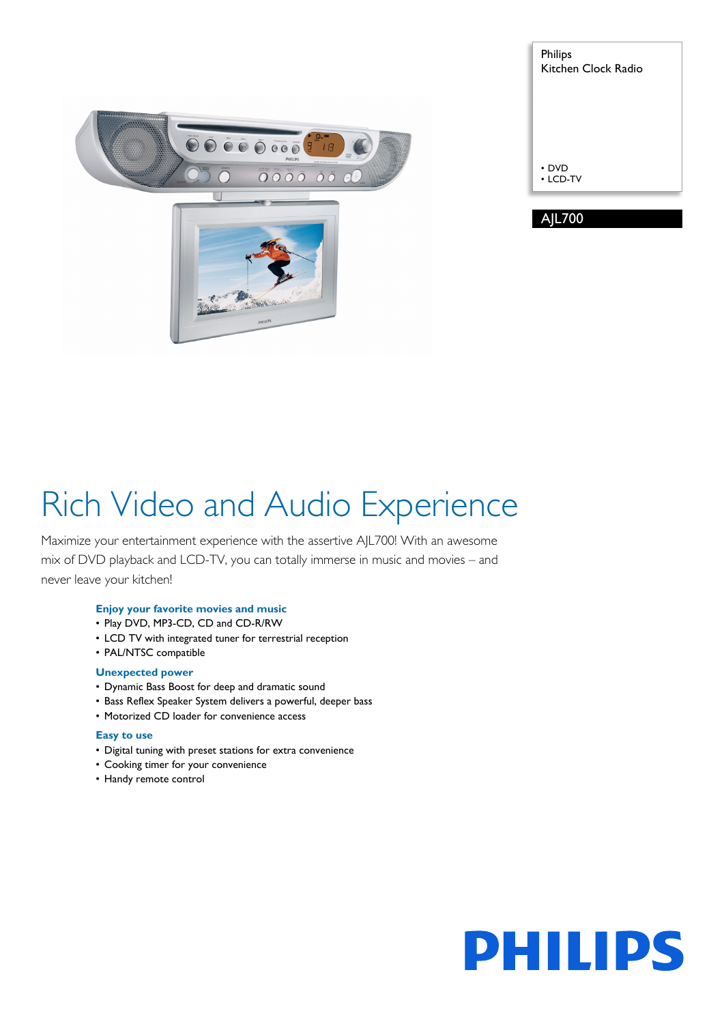

| <b>Philips</b><br>Kitchen Clock Radio |
|---------------------------------------|
|                                       |
|                                       |
| • DVD<br>$\cdot$ LCD-TV               |
|                                       |
| <b>AIL700</b>                         |

# Rich Video and Audio Experience

Maximize your entertainment experience with the assertive AJL700! With an awesome mix of DVD playback and LCD-TV, you can totally immerse in music and movies – and never leave your kitchen!

#### **Enjoy your favorite movies and music**

- Play DVD, MP3-CD, CD and CD-R/RW
- LCD TV with integrated tuner for terrestrial reception
- PAL/NTSC compatible

#### **Unexpected power**

- Dynamic Bass Boost for deep and dramatic sound
- Bass Reflex Speaker System delivers a powerful, deeper bass
- Motorized CD loader for convenience access

#### **Easy to use**

- Digital tuning with preset stations for extra convenience
- Cooking timer for your convenience
- Handy remote control